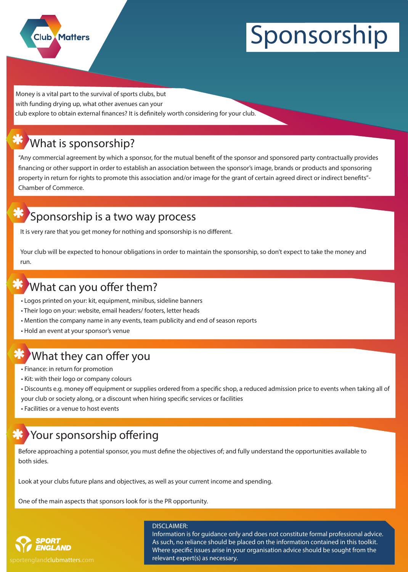

# **Sponsorship**

club explore to obtain external finances? It is definitely worth considering for your club. **Money is a vital part to the survival of sports clubs, but with funding drying up, what other avenues can your**

## **What is sponsorship?**

"Any commercial agreement by which a sponsor, for the mutual benefit of the sponsor and sponsored party contractually provides **nancing or other support in order to establish an association between the sponsor's image, brands or products and sponsoring property in return for rights to promote this association and/or image for the grant of certain agreed direct or indirect benets"- Chamber of Commerce.**

### **Sponsorship is a two way process**

It is very rare that you get money for nothing and sponsorship is no different.

**Your club will be expected to honour obligations in order to maintain the sponsorship, so don't expect to take the money and run.**

## **What can you offer them?**

- **Logos printed on your: kit, equipment, minibus, sideline banners**
- **Their logo on your: website, email headers/ footers, letter heads**
- **Mention the company name in any events, team publicity and end of season reports**
- **Hold an event at your sponsor's venue**

## **What they can offer you**

- **Finance: in return for promotion**
- **Kit: with their logo or company colours**
- Discounts e.g. money off equipment or supplies ordered from a specific shop, a reduced admission price to events when taking all of your club or society along, or a discount when hiring specific services or facilities
- **Facilities or a venue to host events**

## **Your sponsorship offering**

Before approaching a potential sponsor, you must define the objectives of; and fully understand the opportunities available to **both sides.** 

**Look at your clubs future plans and objectives, as well as your current income and spending.**

**One of the main aspects that sponsors look for is the PR opportunity.**



portenglandclubmatters.com

#### **DISCLAIMER:**

Information is for guidance only and does not constitute formal professional advice. As such, no reliance should be placed on the information contained in this toolkit. Where specific issues arise in your organisation advice should be sought from the relevant expert(s) as necessary.